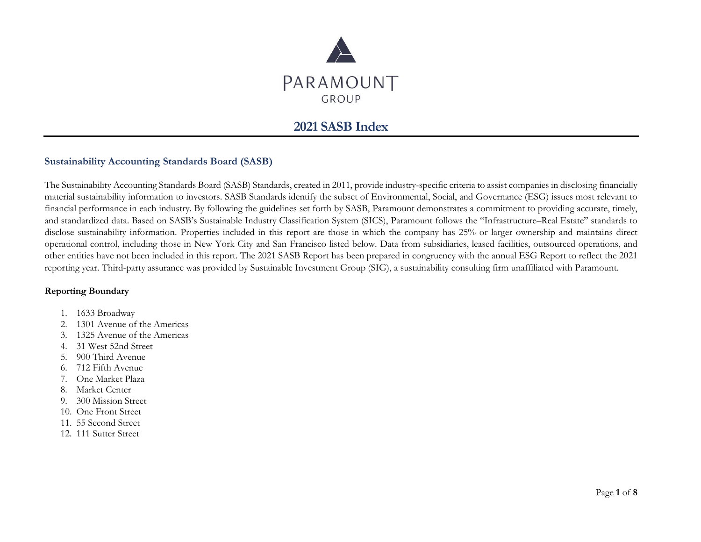

# **2021 SASB Index**

#### **Sustainability Accounting Standards Board (SASB)**

The Sustainability Accounting Standards Board (SASB) Standards, created in 2011, provide industry-specific criteria to assist companies in disclosing financially material sustainability information to investors. SASB Standards identify the subset of Environmental, Social, and Governance (ESG) issues most relevant to financial performance in each industry. By following the guidelines set forth by SASB, Paramount demonstrates a commitment to providing accurate, timely, and standardized data. Based on SASB's Sustainable Industry Classification System (SICS), Paramount follows the "Infrastructure–Real Estate" standards to disclose sustainability information. Properties included in this report are those in which the company has 25% or larger ownership and maintains direct operational control, including those in New York City and San Francisco listed below. Data from subsidiaries, leased facilities, outsourced operations, and other entities have not been included in this report. The 2021 SASB Report has been prepared in congruency with the annual ESG Report to reflect the 2021 reporting year. Third-party assurance was provided by Sustainable Investment Group (SIG), a sustainability consulting firm unaffiliated with Paramount.

#### **Reporting Boundary**

- 1. 1633 Broadway
- 2. 1301 Avenue of the Americas
- 3. 1325 Avenue of the Americas
- 4. 31 West 52nd Street
- 5. 900 Third Avenue
- 6. 712 Fifth Avenue
- 7. One Market Plaza
- 8. Market Center
- 9. 300 Mission Street
- 10. One Front Street
- 11. 55 Second Street
- 12. 111 Sutter Street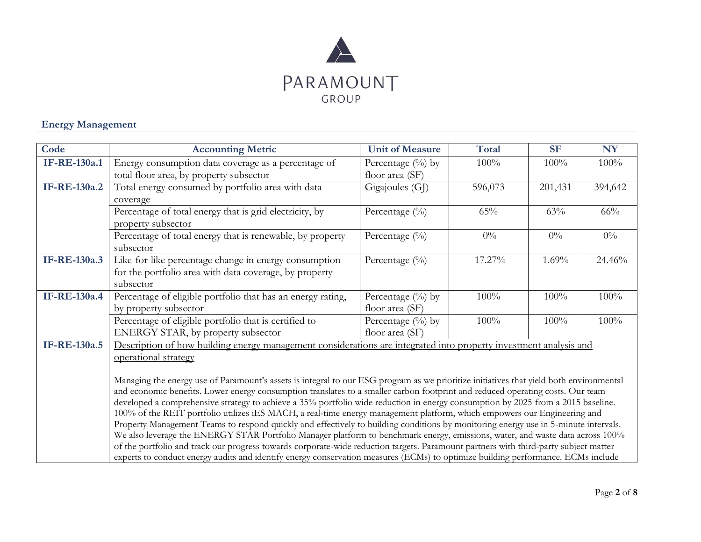

### **Energy Management**

| Code                | <b>Accounting Metric</b>                                                                                                                                                                                                                                           | <b>Unit of Measure</b> | <b>Total</b> | <b>SF</b> | <b>NY</b> |
|---------------------|--------------------------------------------------------------------------------------------------------------------------------------------------------------------------------------------------------------------------------------------------------------------|------------------------|--------------|-----------|-----------|
| <b>IF-RE-130a.1</b> | Energy consumption data coverage as a percentage of                                                                                                                                                                                                                | Percentage (%) by      | 100%         | 100%      | 100%      |
|                     | total floor area, by property subsector                                                                                                                                                                                                                            | floor area (SF)        |              |           |           |
| IF-RE-130a.2        | Total energy consumed by portfolio area with data                                                                                                                                                                                                                  | Gigajoules (GJ)        | 596,073      | 201,431   | 394,642   |
|                     | coverage                                                                                                                                                                                                                                                           |                        |              |           |           |
|                     | Percentage of total energy that is grid electricity, by                                                                                                                                                                                                            | Percentage (%)         | 65%          | 63%       | 66%       |
|                     | property subsector                                                                                                                                                                                                                                                 |                        |              |           |           |
|                     | Percentage of total energy that is renewable, by property                                                                                                                                                                                                          | Percentage (%)         | $0\%$        | $0\%$     | $0\%$     |
|                     | subsector                                                                                                                                                                                                                                                          |                        |              |           |           |
| IF-RE-130a.3        | Like-for-like percentage change in energy consumption                                                                                                                                                                                                              | Percentage (%)         | $-17.27\%$   | 1.69%     | $-24.46%$ |
|                     | for the portfolio area with data coverage, by property                                                                                                                                                                                                             |                        |              |           |           |
|                     | subsector                                                                                                                                                                                                                                                          |                        |              |           |           |
| <b>IF-RE-130a.4</b> | Percentage of eligible portfolio that has an energy rating,                                                                                                                                                                                                        | Percentage (%) by      | 100%         | 100%      | 100%      |
|                     | by property subsector                                                                                                                                                                                                                                              | floor area (SF)        |              |           |           |
|                     | Percentage of eligible portfolio that is certified to                                                                                                                                                                                                              | Percentage (%) by      | 100%         | 100%      | 100%      |
|                     | ENERGY STAR, by property subsector                                                                                                                                                                                                                                 | floor area (SF)        |              |           |           |
| <b>IF-RE-130a.5</b> | Description of how building energy management considerations are integrated into property investment analysis and                                                                                                                                                  |                        |              |           |           |
|                     | operational strategy                                                                                                                                                                                                                                               |                        |              |           |           |
|                     |                                                                                                                                                                                                                                                                    |                        |              |           |           |
|                     | Managing the energy use of Paramount's assets is integral to our ESG program as we prioritize initiatives that yield both environmental                                                                                                                            |                        |              |           |           |
|                     | and economic benefits. Lower energy consumption translates to a smaller carbon footprint and reduced operating costs. Our team<br>developed a comprehensive strategy to achieve a 35% portfolio wide reduction in energy consumption by 2025 from a 2015 baseline. |                        |              |           |           |
|                     | 100% of the REIT portfolio utilizes iES MACH, a real-time energy management platform, which empowers our Engineering and                                                                                                                                           |                        |              |           |           |
|                     | Property Management Teams to respond quickly and effectively to building conditions by monitoring energy use in 5-minute intervals.                                                                                                                                |                        |              |           |           |
|                     | We also leverage the ENERGY STAR Portfolio Manager platform to benchmark energy, emissions, water, and waste data across 100%                                                                                                                                      |                        |              |           |           |
|                     | of the portfolio and track our progress towards corporate-wide reduction targets. Paramount partners with third-party subject matter                                                                                                                               |                        |              |           |           |
|                     | experts to conduct energy audits and identify energy conservation measures (ECMs) to optimize building performance. ECMs include                                                                                                                                   |                        |              |           |           |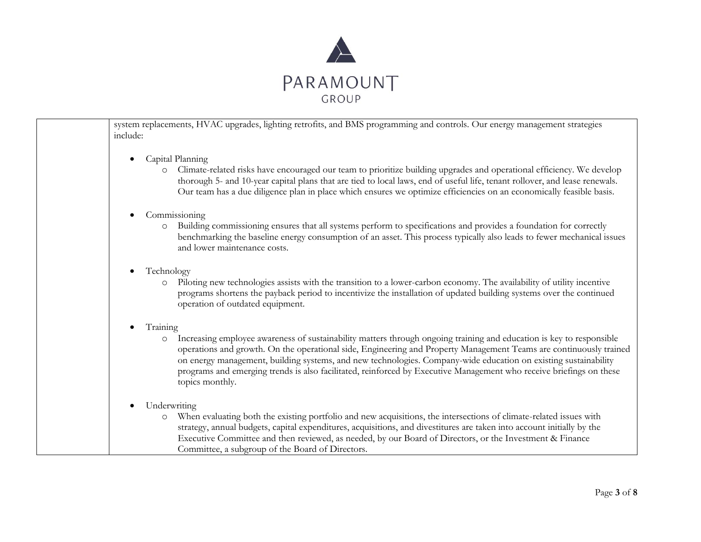

system replacements, HVAC upgrades, lighting retrofits, and BMS programming and controls. Our energy management strategies include: • Capital Planning o Climate-related risks have encouraged our team to prioritize building upgrades and operational efficiency. We develop thorough 5- and 10-year capital plans that are tied to local laws, end of useful life, tenant rollover, and lease renewals. Our team has a due diligence plan in place which ensures we optimize efficiencies on an economically feasible basis. • Commissioning o Building commissioning ensures that all systems perform to specifications and provides a foundation for correctly benchmarking the baseline energy consumption of an asset. This process typically also leads to fewer mechanical issues and lower maintenance costs. • Technology o Piloting new technologies assists with the transition to a lower-carbon economy. The availability of utility incentive programs shortens the payback period to incentivize the installation of updated building systems over the continued operation of outdated equipment. • Training o Increasing employee awareness of sustainability matters through ongoing training and education is key to responsible operations and growth. On the operational side, Engineering and Property Management Teams are continuously trained on energy management, building systems, and new technologies. Company-wide education on existing sustainability programs and emerging trends is also facilitated, reinforced by Executive Management who receive briefings on these topics monthly. Underwriting o When evaluating both the existing portfolio and new acquisitions, the intersections of climate-related issues with strategy, annual budgets, capital expenditures, acquisitions, and divestitures are taken into account initially by the Executive Committee and then reviewed, as needed, by our Board of Directors, or the Investment & Finance Committee, a subgroup of the Board of Directors.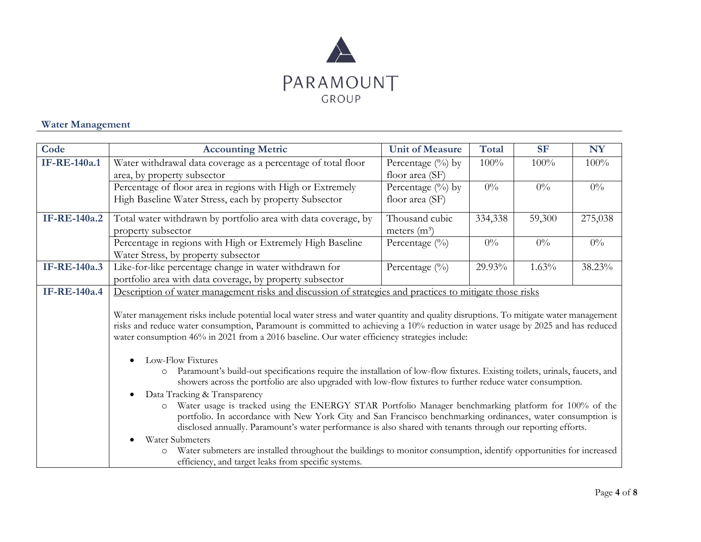

#### **Water Management**

| Code                | <b>Accounting Metric</b>                                                                                                                                                                                                                                                                                                                                                       | <b>Unit of Measure</b>                  | <b>Total</b> | <b>SF</b> | <b>NY</b> |
|---------------------|--------------------------------------------------------------------------------------------------------------------------------------------------------------------------------------------------------------------------------------------------------------------------------------------------------------------------------------------------------------------------------|-----------------------------------------|--------------|-----------|-----------|
| <b>IF-RE-140a.1</b> | Water withdrawal data coverage as a percentage of total floor<br>area, by property subsector                                                                                                                                                                                                                                                                                   | Percentage (%) by<br>floor area (SF)    | 100%         | 100%      | 100%      |
|                     | Percentage of floor area in regions with High or Extremely<br>High Baseline Water Stress, each by property Subsector                                                                                                                                                                                                                                                           | Percentage $(\%)$ by<br>floor area (SF) | $0\%$        | $0\%$     | $0\%$     |
| IF-RE-140a.2        | Total water withdrawn by portfolio area with data coverage, by<br>property subsector                                                                                                                                                                                                                                                                                           | Thousand cubic<br>meters $(m^3)$        | 334,338      | 59,300    | 275,038   |
|                     | Percentage in regions with High or Extremely High Baseline<br>Water Stress, by property subsector                                                                                                                                                                                                                                                                              | Percentage $(\%)$                       | $0\%$        | $0\%$     | $0\%$     |
| <b>IF-RE-140a.3</b> | Like-for-like percentage change in water withdrawn for<br>portfolio area with data coverage, by property subsector                                                                                                                                                                                                                                                             | Percentage $(\%)$                       | 29.93%       | 1.63%     | 38.23%    |
| <b>IF-RE-140a.4</b> | Description of water management risks and discussion of strategies and practices to mitigate those risks                                                                                                                                                                                                                                                                       |                                         |              |           |           |
|                     | Water management risks include potential local water stress and water quantity and quality disruptions. To mitigate water management<br>risks and reduce water consumption, Paramount is committed to achieving a 10% reduction in water usage by 2025 and has reduced<br>water consumption 46% in 2021 from a 2016 baseline. Our water efficiency strategies include:         |                                         |              |           |           |
|                     | Low-Flow Fixtures<br>Paramount's build-out specifications require the installation of low-flow fixtures. Existing toilets, urinals, faucets, and<br>$\circ$<br>showers across the portfolio are also upgraded with low-flow fixtures to further reduce water consumption.                                                                                                      |                                         |              |           |           |
|                     | Data Tracking & Transparency<br>Water usage is tracked using the ENERGY STAR Portfolio Manager benchmarking platform for 100% of the<br>$\circ$<br>portfolio. In accordance with New York City and San Francisco benchmarking ordinances, water consumption is<br>disclosed annually. Paramount's water performance is also shared with tenants through our reporting efforts. |                                         |              |           |           |
|                     | Water Submeters<br>Water submeters are installed throughout the buildings to monitor consumption, identify opportunities for increased<br>$\circ$<br>efficiency, and target leaks from specific systems.                                                                                                                                                                       |                                         |              |           |           |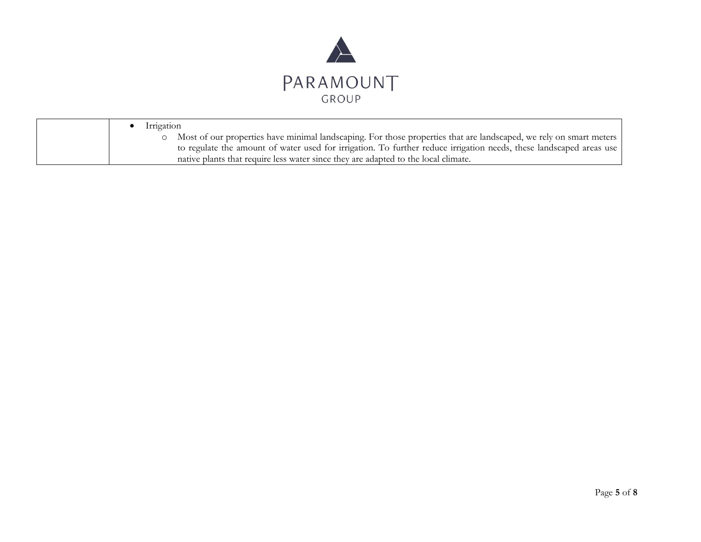

| Irrigation                                                                                                           |
|----------------------------------------------------------------------------------------------------------------------|
| o Most of our properties have minimal landscaping. For those properties that are landscaped, we rely on smart meters |
| to regulate the amount of water used for irrigation. To further reduce irrigation needs, these landscaped areas use  |
| native plants that require less water since they are adapted to the local climate.                                   |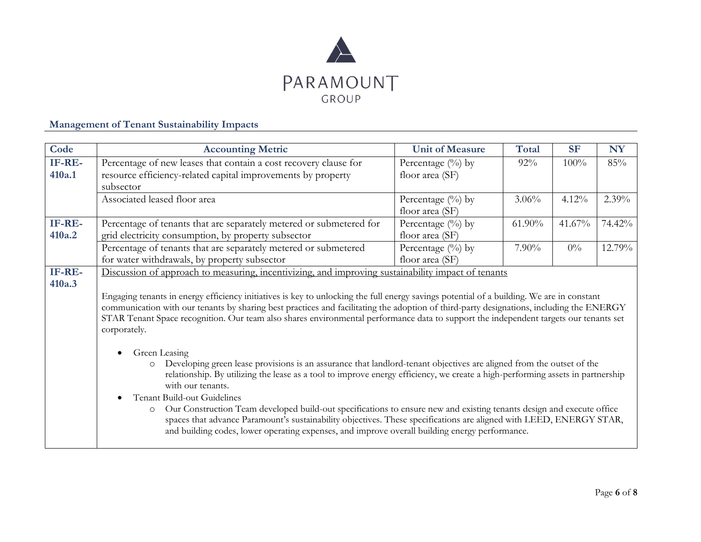

### **Management of Tenant Sustainability Impacts**

| Code             | <b>Accounting Metric</b>                                                                                                                                                                                                                                                                                                                                                                                                                                                                                                                                                                                                                                                                                                                                                                                                                                                                                                                                                                                                                                                                                                                                                                                                                                      | <b>Unit of Measure</b>                  | <b>Total</b> | <b>SF</b> | <b>NY</b> |
|------------------|---------------------------------------------------------------------------------------------------------------------------------------------------------------------------------------------------------------------------------------------------------------------------------------------------------------------------------------------------------------------------------------------------------------------------------------------------------------------------------------------------------------------------------------------------------------------------------------------------------------------------------------------------------------------------------------------------------------------------------------------------------------------------------------------------------------------------------------------------------------------------------------------------------------------------------------------------------------------------------------------------------------------------------------------------------------------------------------------------------------------------------------------------------------------------------------------------------------------------------------------------------------|-----------------------------------------|--------------|-----------|-----------|
| IF-RE-<br>410a.1 | Percentage of new leases that contain a cost recovery clause for<br>resource efficiency-related capital improvements by property<br>subsector                                                                                                                                                                                                                                                                                                                                                                                                                                                                                                                                                                                                                                                                                                                                                                                                                                                                                                                                                                                                                                                                                                                 | Percentage (%) by<br>floor area (SF)    | $92\%$       | 100%      | 85%       |
|                  | Associated leased floor area                                                                                                                                                                                                                                                                                                                                                                                                                                                                                                                                                                                                                                                                                                                                                                                                                                                                                                                                                                                                                                                                                                                                                                                                                                  | Percentage $(\%)$ by<br>floor area (SF) | $3.06\%$     | 4.12%     | 2.39%     |
| IF-RE-<br>410a.2 | Percentage of tenants that are separately metered or submetered for<br>grid electricity consumption, by property subsector                                                                                                                                                                                                                                                                                                                                                                                                                                                                                                                                                                                                                                                                                                                                                                                                                                                                                                                                                                                                                                                                                                                                    | Percentage (%) by<br>floor area (SF)    | $61.90\%$    | 41.67%    | 74.42%    |
|                  | Percentage of tenants that are separately metered or submetered<br>for water withdrawals, by property subsector                                                                                                                                                                                                                                                                                                                                                                                                                                                                                                                                                                                                                                                                                                                                                                                                                                                                                                                                                                                                                                                                                                                                               | Percentage $(\%)$ by<br>floor area (SF) | $7.90\%$     | $0\%$     | 12.79%    |
| IF-RE-<br>410a.3 | Discussion of approach to measuring, incentivizing, and improving sustainability impact of tenants<br>Engaging tenants in energy efficiency initiatives is key to unlocking the full energy savings potential of a building. We are in constant<br>communication with our tenants by sharing best practices and facilitating the adoption of third-party designations, including the ENERGY<br>STAR Tenant Space recognition. Our team also shares environmental performance data to support the independent targets our tenants set<br>corporately.<br>Green Leasing<br>Developing green lease provisions is an assurance that landlord-tenant objectives are aligned from the outset of the<br>relationship. By utilizing the lease as a tool to improve energy efficiency, we create a high-performing assets in partnership<br>with our tenants.<br>Tenant Build-out Guidelines<br>$\bullet$<br>Our Construction Team developed build-out specifications to ensure new and existing tenants design and execute office<br>$\circ$<br>spaces that advance Paramount's sustainability objectives. These specifications are aligned with LEED, ENERGY STAR,<br>and building codes, lower operating expenses, and improve overall building energy performance. |                                         |              |           |           |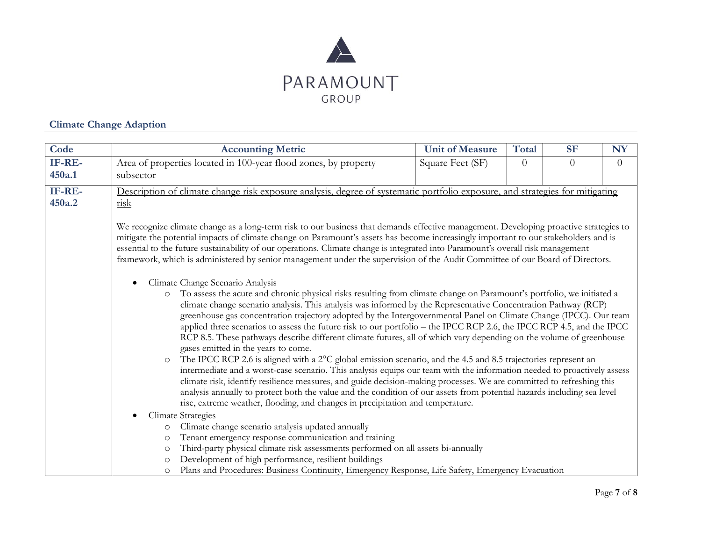

## **Climate Change Adaption**

| Code   | <b>Accounting Metric</b>                                                                                                                                                                                                                                                                                                                                                                                                                                                                                                                                                                                                                                                                                                                                                                                                                                                                                                                                                                                                                                                                                                                                                                                                                                                                       | <b>Unit of Measure</b> | <b>Total</b>   | <b>SF</b> | <b>NY</b>      |
|--------|------------------------------------------------------------------------------------------------------------------------------------------------------------------------------------------------------------------------------------------------------------------------------------------------------------------------------------------------------------------------------------------------------------------------------------------------------------------------------------------------------------------------------------------------------------------------------------------------------------------------------------------------------------------------------------------------------------------------------------------------------------------------------------------------------------------------------------------------------------------------------------------------------------------------------------------------------------------------------------------------------------------------------------------------------------------------------------------------------------------------------------------------------------------------------------------------------------------------------------------------------------------------------------------------|------------------------|----------------|-----------|----------------|
| IF-RE- | Area of properties located in 100-year flood zones, by property                                                                                                                                                                                                                                                                                                                                                                                                                                                                                                                                                                                                                                                                                                                                                                                                                                                                                                                                                                                                                                                                                                                                                                                                                                | Square Feet (SF)       | $\overline{0}$ | $\theta$  | $\overline{0}$ |
| 450a.1 | subsector                                                                                                                                                                                                                                                                                                                                                                                                                                                                                                                                                                                                                                                                                                                                                                                                                                                                                                                                                                                                                                                                                                                                                                                                                                                                                      |                        |                |           |                |
| IF-RE- | Description of climate change risk exposure analysis, degree of systematic portfolio exposure, and strategies for mitigating                                                                                                                                                                                                                                                                                                                                                                                                                                                                                                                                                                                                                                                                                                                                                                                                                                                                                                                                                                                                                                                                                                                                                                   |                        |                |           |                |
| 450a.2 | risk                                                                                                                                                                                                                                                                                                                                                                                                                                                                                                                                                                                                                                                                                                                                                                                                                                                                                                                                                                                                                                                                                                                                                                                                                                                                                           |                        |                |           |                |
|        |                                                                                                                                                                                                                                                                                                                                                                                                                                                                                                                                                                                                                                                                                                                                                                                                                                                                                                                                                                                                                                                                                                                                                                                                                                                                                                |                        |                |           |                |
|        | We recognize climate change as a long-term risk to our business that demands effective management. Developing proactive strategies to<br>mitigate the potential impacts of climate change on Paramount's assets has become increasingly important to our stakeholders and is<br>essential to the future sustainability of our operations. Climate change is integrated into Paramount's overall risk management<br>framework, which is administered by senior management under the supervision of the Audit Committee of our Board of Directors.                                                                                                                                                                                                                                                                                                                                                                                                                                                                                                                                                                                                                                                                                                                                               |                        |                |           |                |
|        | Climate Change Scenario Analysis<br>To assess the acute and chronic physical risks resulting from climate change on Paramount's portfolio, we initiated a<br>$\circ$<br>climate change scenario analysis. This analysis was informed by the Representative Concentration Pathway (RCP)<br>greenhouse gas concentration trajectory adopted by the Intergovernmental Panel on Climate Change (IPCC). Our team<br>applied three scenarios to assess the future risk to our portfolio – the IPCC RCP 2.6, the IPCC RCP 4.5, and the IPCC<br>RCP 8.5. These pathways describe different climate futures, all of which vary depending on the volume of greenhouse<br>gases emitted in the years to come.<br>The IPCC RCP 2.6 is aligned with a 2°C global emission scenario, and the 4.5 and 8.5 trajectories represent an<br>$\circ$<br>intermediate and a worst-case scenario. This analysis equips our team with the information needed to proactively assess<br>climate risk, identify resilience measures, and guide decision-making processes. We are committed to refreshing this<br>analysis annually to protect both the value and the condition of our assets from potential hazards including sea level<br>rise, extreme weather, flooding, and changes in precipitation and temperature. |                        |                |           |                |
|        | <b>Climate Strategies</b>                                                                                                                                                                                                                                                                                                                                                                                                                                                                                                                                                                                                                                                                                                                                                                                                                                                                                                                                                                                                                                                                                                                                                                                                                                                                      |                        |                |           |                |
|        | Climate change scenario analysis updated annually<br>$\circ$                                                                                                                                                                                                                                                                                                                                                                                                                                                                                                                                                                                                                                                                                                                                                                                                                                                                                                                                                                                                                                                                                                                                                                                                                                   |                        |                |           |                |
|        | Tenant emergency response communication and training<br>$\circ$                                                                                                                                                                                                                                                                                                                                                                                                                                                                                                                                                                                                                                                                                                                                                                                                                                                                                                                                                                                                                                                                                                                                                                                                                                |                        |                |           |                |
|        | Third-party physical climate risk assessments performed on all assets bi-annually<br>$\circ$                                                                                                                                                                                                                                                                                                                                                                                                                                                                                                                                                                                                                                                                                                                                                                                                                                                                                                                                                                                                                                                                                                                                                                                                   |                        |                |           |                |
|        | Development of high performance, resilient buildings<br>$\circ$                                                                                                                                                                                                                                                                                                                                                                                                                                                                                                                                                                                                                                                                                                                                                                                                                                                                                                                                                                                                                                                                                                                                                                                                                                |                        |                |           |                |
|        | Plans and Procedures: Business Continuity, Emergency Response, Life Safety, Emergency Evacuation<br>$\circ$                                                                                                                                                                                                                                                                                                                                                                                                                                                                                                                                                                                                                                                                                                                                                                                                                                                                                                                                                                                                                                                                                                                                                                                    |                        |                |           |                |